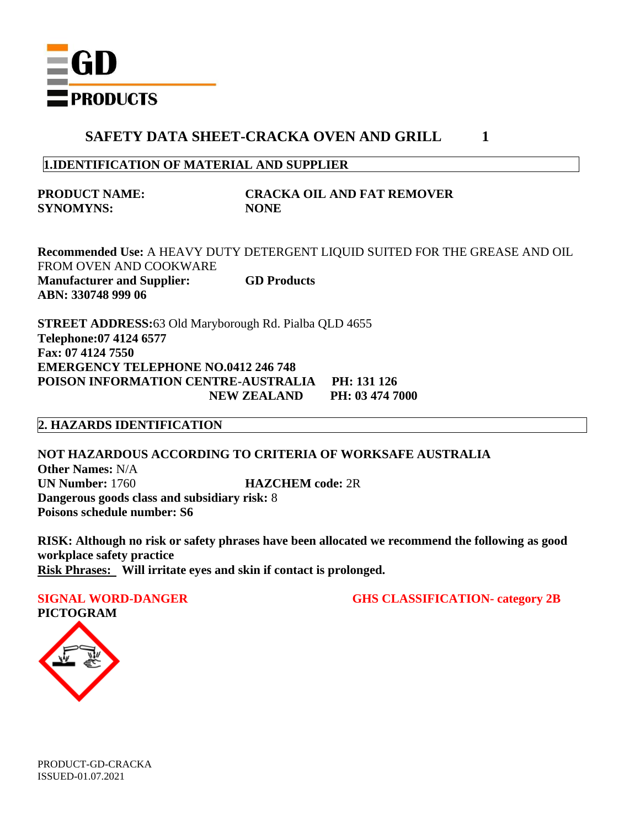

#### **1.IDENTIFICATION OF MATERIAL AND SUPPLIER**

**SYNOMYNS: NONE**

# **PRODUCT NAME: CRACKA OIL AND FAT REMOVER**

**Recommended Use:** A HEAVY DUTY DETERGENT LIQUID SUITED FOR THE GREASE AND OIL FROM OVEN AND COOKWARE **Manufacturer and Supplier: GD Products ABN: 330748 999 06**

**STREET ADDRESS:**63 Old Maryborough Rd. Pialba QLD 4655 **Telephone:07 4124 6577 Fax: 07 4124 7550 EMERGENCY TELEPHONE NO.0412 246 748 POISON INFORMATION CENTRE-AUSTRALIA PH: 131 126 NEW ZEALAND PH: 03 474 7000**

## **2. HAZARDS IDENTIFICATION**

**NOT HAZARDOUS ACCORDING TO CRITERIA OF WORKSAFE AUSTRALIA Other Names:** N/A **UN Number:** 1760 **HAZCHEM code:** 2R **Dangerous goods class and subsidiary risk:** 8 **Poisons schedule number: S6**

**RISK: Although no risk or safety phrases have been allocated we recommend the following as good workplace safety practice Risk Phrases: Will irritate eyes and skin if contact is prolonged.**

**PICTOGRAM**

**SIGNAL WORD-DANGER GHS CLASSIFICATION- category 2B**

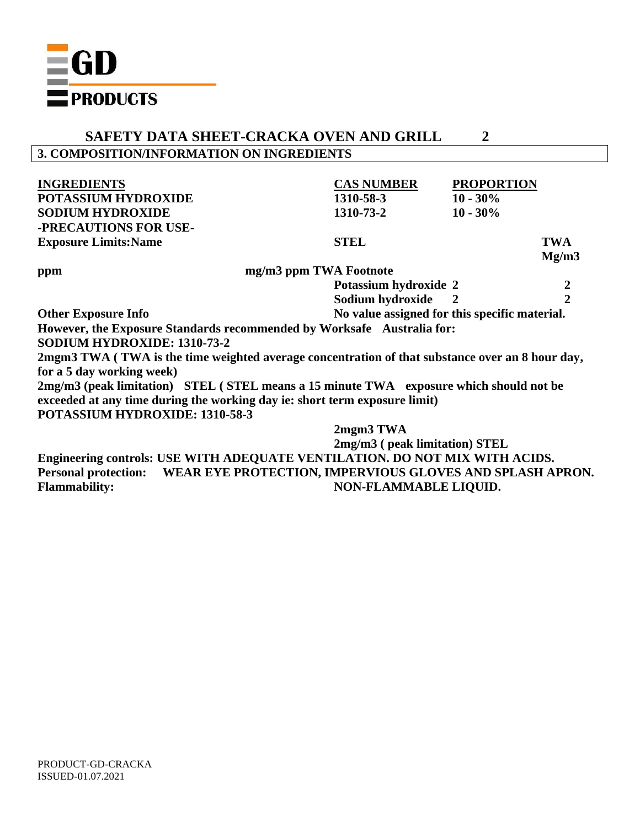

# **SAFETY DATA SHEET-CRACKA OVEN AND GRILL 2 3. COMPOSITION/INFORMATION ON INGREDIENTS**

| <b>INGREDIENTS</b>                                                                              | <b>CAS NUMBER</b>                             | <b>PROPORTION</b> |               |
|-------------------------------------------------------------------------------------------------|-----------------------------------------------|-------------------|---------------|
| <b>POTASSIUM HYDROXIDE</b>                                                                      | 1310-58-3                                     | $10 - 30\%$       |               |
| <b>SODIUM HYDROXIDE</b>                                                                         | 1310-73-2                                     | $10 - 30\%$       |               |
| -PRECAUTIONS FOR USE-                                                                           |                                               |                   |               |
| <b>Exposure Limits: Name</b>                                                                    | <b>STEL</b>                                   |                   | <b>TWA</b>    |
|                                                                                                 |                                               |                   | Mg/m3         |
| ppm                                                                                             | mg/m3 ppm TWA Footnote                        |                   |               |
|                                                                                                 | Potassium hydroxide 2                         |                   |               |
|                                                                                                 | Sodium hydroxide 2                            |                   | $\frac{2}{2}$ |
| <b>Other Exposure Info</b>                                                                      | No value assigned for this specific material. |                   |               |
| However, the Exposure Standards recommended by Worksafe Australia for:                          |                                               |                   |               |
| <b>SODIUM HYDROXIDE: 1310-73-2</b>                                                              |                                               |                   |               |
| 2mgm3 TWA (TWA is the time weighted average concentration of that substance over an 8 hour day, |                                               |                   |               |
| for a 5 day working week)                                                                       |                                               |                   |               |
| 2mg/m3 (peak limitation) STEL (STEL means a 15 minute TWA exposure which should not be          |                                               |                   |               |
| exceeded at any time during the working day ie: short term exposure limit)                      |                                               |                   |               |
| POTASSIUM HYDROXIDE: 1310-58-3                                                                  |                                               |                   |               |
|                                                                                                 | 2mgm3 TWA                                     |                   |               |
|                                                                                                 | 2mg/m3 (peak limitation) STEL                 |                   |               |
|                                                                                                 |                                               |                   |               |

**Engineering controls: USE WITH ADEQUATE VENTILATION. DO NOT MIX WITH ACIDS. Personal protection: WEAR EYE PROTECTION, IMPERVIOUS GLOVES AND SPLASH APRON.** Flammability: NON-FLAMMABLE LIQUID.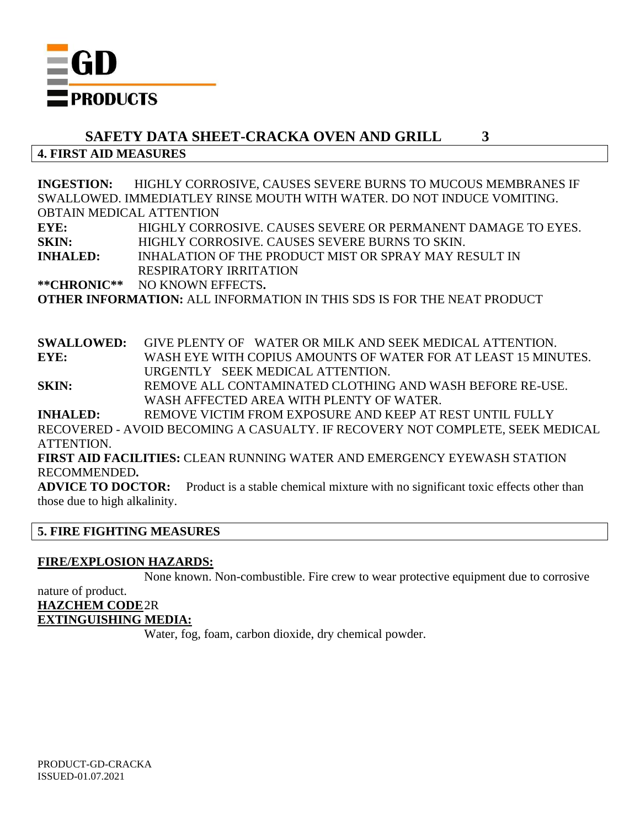

**4. FIRST AID MEASURES**

**INGESTION:** HIGHLY CORROSIVE, CAUSES SEVERE BURNS TO MUCOUS MEMBRANES IF SWALLOWED. IMMEDIATLEY RINSE MOUTH WITH WATER. DO NOT INDUCE VOMITING. OBTAIN MEDICAL ATTENTION **EYE:** HIGHLY CORROSIVE. CAUSES SEVERE OR PERMANENT DAMAGE TO EYES. **SKIN:** HIGHLY CORROSIVE. CAUSES SEVERE BURNS TO SKIN. **INHALED:** INHALATION OF THE PRODUCT MIST OR SPRAY MAY RESULT IN RESPIRATORY IRRITATION **\*\*CHRONIC\*\*** NO KNOWN EFFECTS**.**

**OTHER INFORMATION:** ALL INFORMATION IN THIS SDS IS FOR THE NEAT PRODUCT

**SWALLOWED:** GIVE PLENTY OF WATER OR MILK AND SEEK MEDICAL ATTENTION. **EYE:** WASH EYE WITH COPIUS AMOUNTS OF WATER FOR AT LEAST 15 MINUTES. URGENTLY SEEK MEDICAL ATTENTION.

**SKIN:** REMOVE ALL CONTAMINATED CLOTHING AND WASH BEFORE RE-USE. WASH AFFECTED AREA WITH PLENTY OF WATER.

**INHALED:** REMOVE VICTIM FROM EXPOSURE AND KEEP AT REST UNTIL FULLY

RECOVERED - AVOID BECOMING A CASUALTY. IF RECOVERY NOT COMPLETE, SEEK MEDICAL ATTENTION.

**FIRST AID FACILITIES:** CLEAN RUNNING WATER AND EMERGENCY EYEWASH STATION RECOMMENDED**.**

**ADVICE TO DOCTOR:** Product is a stable chemical mixture with no significant toxic effects other than those due to high alkalinity.

# **5. FIRE FIGHTING MEASURES**

#### **FIRE/EXPLOSION HAZARDS:**

None known. Non-combustible. Fire crew to wear protective equipment due to corrosive

## nature of product. **HAZCHEM CODE**2R **EXTINGUISHING MEDIA:**

Water, fog, foam, carbon dioxide, dry chemical powder.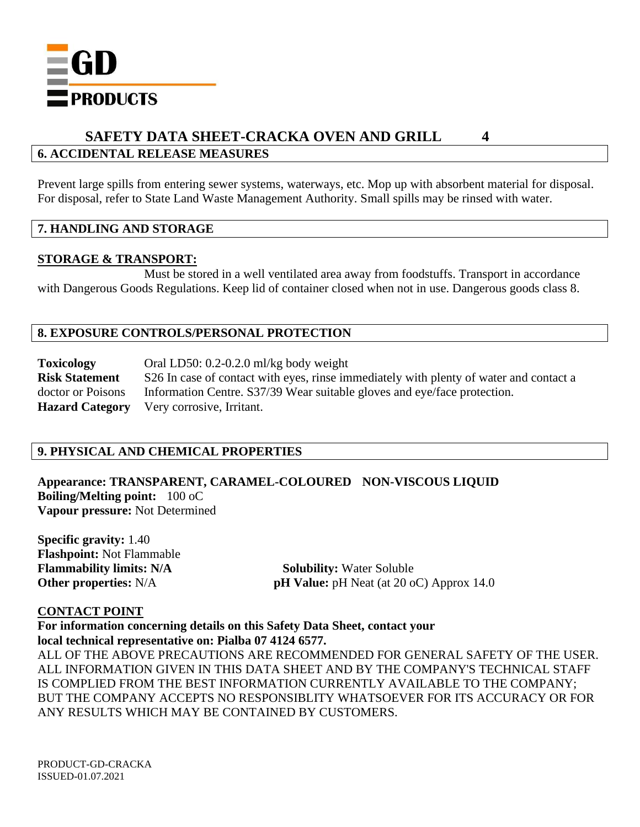

## **6. ACCIDENTAL RELEASE MEASURES**

Prevent large spills from entering sewer systems, waterways, etc. Mop up with absorbent material for disposal. For disposal, refer to State Land Waste Management Authority. Small spills may be rinsed with water.

#### **7. HANDLING AND STORAGE**

#### **STORAGE & TRANSPORT:**

Must be stored in a well ventilated area away from foodstuffs. Transport in accordance with Dangerous Goods Regulations. Keep lid of container closed when not in use. Dangerous goods class 8.

## **8. EXPOSURE CONTROLS/PERSONAL PROTECTION**

**Toxicology** Oral LD50: 0.2-0.2.0 ml/kg body weight **Risk Statement** S26 In case of contact with eyes, rinse immediately with plenty of water and contact a doctor or Poisons Information Centre. S37/39 Wear suitable gloves and eye/face protection. **Hazard Category** Very corrosive, Irritant.

## **9. PHYSICAL AND CHEMICAL PROPERTIES**

**Appearance: TRANSPARENT, CARAMEL-COLOURED NON-VISCOUS LIQUID Boiling/Melting point:** 100 oC **Vapour pressure:** Not Determined

**Specific gravity:** 1.40 **Flashpoint:** Not Flammable **Flammability limits: N/A** Solubility: Water Soluble

**Other properties:** N/A **pH Value:** pH Neat (at 20 oC) Approx 14.0

## **CONTACT POINT**

**For information concerning details on this Safety Data Sheet, contact your local technical representative on: Pialba 07 4124 6577.**

ALL OF THE ABOVE PRECAUTIONS ARE RECOMMENDED FOR GENERAL SAFETY OF THE USER. ALL INFORMATION GIVEN IN THIS DATA SHEET AND BY THE COMPANY'S TECHNICAL STAFF IS COMPLIED FROM THE BEST INFORMATION CURRENTLY AVAILABLE TO THE COMPANY; BUT THE COMPANY ACCEPTS NO RESPONSIBLITY WHATSOEVER FOR ITS ACCURACY OR FOR ANY RESULTS WHICH MAY BE CONTAINED BY CUSTOMERS.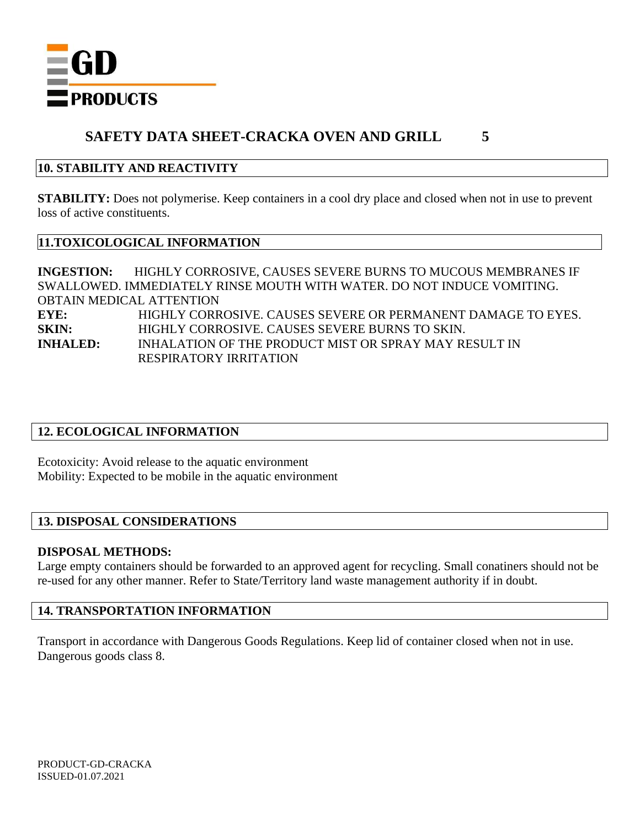

## **10. STABILITY AND REACTIVITY**

**STABILITY:** Does not polymerise. Keep containers in a cool dry place and closed when not in use to prevent loss of active constituents.

#### **11.TOXICOLOGICAL INFORMATION**

**INGESTION:** HIGHLY CORROSIVE, CAUSES SEVERE BURNS TO MUCOUS MEMBRANES IF SWALLOWED. IMMEDIATELY RINSE MOUTH WITH WATER. DO NOT INDUCE VOMITING. OBTAIN MEDICAL ATTENTION **EYE:** HIGHLY CORROSIVE. CAUSES SEVERE OR PERMANENT DAMAGE TO EYES. **SKIN:** HIGHLY CORROSIVE. CAUSES SEVERE BURNS TO SKIN. **INHALED:** INHALATION OF THE PRODUCT MIST OR SPRAY MAY RESULT IN RESPIRATORY IRRITATION

## **12. ECOLOGICAL INFORMATION**

Ecotoxicity: Avoid release to the aquatic environment Mobility: Expected to be mobile in the aquatic environment

#### **13. DISPOSAL CONSIDERATIONS**

#### **DISPOSAL METHODS:**

Large empty containers should be forwarded to an approved agent for recycling. Small conatiners should not be re-used for any other manner. Refer to State/Territory land waste management authority if in doubt.

#### **14. TRANSPORTATION INFORMATION**

Transport in accordance with Dangerous Goods Regulations. Keep lid of container closed when not in use. Dangerous goods class 8.